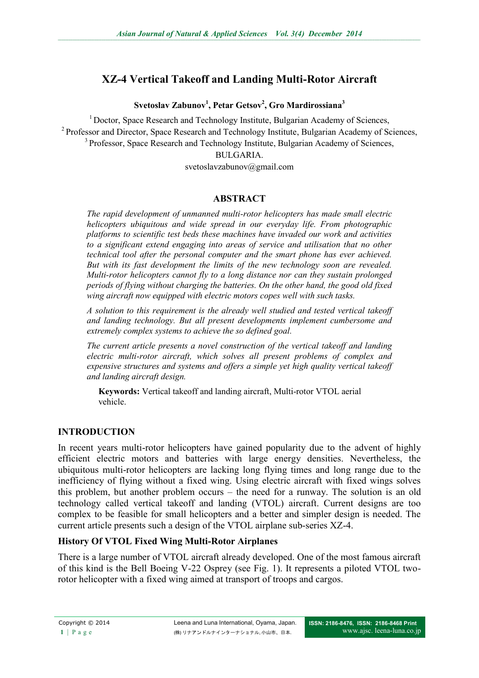# **XZ-4 Vertical Takeoff and Landing Multi-Rotor Aircraft**

**Svetoslav Zabunov<sup>1</sup> , Petar Getsov<sup>2</sup> , Gro Mardirossiana<sup>3</sup>**

 $1$ Doctor, Space Research and Technology Institute, Bulgarian Academy of Sciences, <sup>2</sup> Professor and Director, Space Research and Technology Institute, Bulgarian Academy of Sciences, <sup>3</sup> Professor, Space Research and Technology Institute, Bulgarian Academy of Sciences, BULGARIA.

svetoslavzabunov@gmail.com

## **ABSTRACT**

*The rapid development of unmanned multi-rotor helicopters has made small electric helicopters ubiquitous and wide spread in our everyday life. From photographic platforms to scientific test beds these machines have invaded our work and activities to a significant extend engaging into areas of service and utilisation that no other technical tool after the personal computer and the smart phone has ever achieved. But with its fast development the limits of the new technology soon are revealed. Multi-rotor helicopters cannot fly to a long distance nor can they sustain prolonged periods of flying without charging the batteries. On the other hand, the good old fixed wing aircraft now equipped with electric motors copes well with such tasks.*

*A solution to this requirement is the already well studied and tested vertical takeoff and landing technology. But all present developments implement cumbersome and extremely complex systems to achieve the so defined goal.*

*The current article presents a novel construction of the vertical takeoff and landing electric multi-rotor aircraft, which solves all present problems of complex and expensive structures and systems and offers a simple yet high quality vertical takeoff and landing aircraft design.*

**Keywords:** Vertical takeoff and landing aircraft, Multi-rotor VTOL aerial vehicle.

## **INTRODUCTION**

In recent years multi-rotor helicopters have gained popularity due to the advent of highly efficient electric motors and batteries with large energy densities. Nevertheless, the ubiquitous multi-rotor helicopters are lacking long flying times and long range due to the inefficiency of flying without a fixed wing. Using electric aircraft with fixed wings solves this problem, but another problem occurs – the need for a runway. The solution is an old technology called vertical takeoff and landing (VTOL) aircraft. Current designs are too complex to be feasible for small helicopters and a better and simpler design is needed. The current article presents such a design of the VTOL airplane sub-series XZ-4.

## **History Of VTOL Fixed Wing Multi-Rotor Airplanes**

There is a large number of VTOL aircraft already developed. One of the most famous aircraft of this kind is the Bell Boeing V-22 Osprey (see Fig. 1). It represents a piloted VTOL tworotor helicopter with a fixed wing aimed at transport of troops and cargos.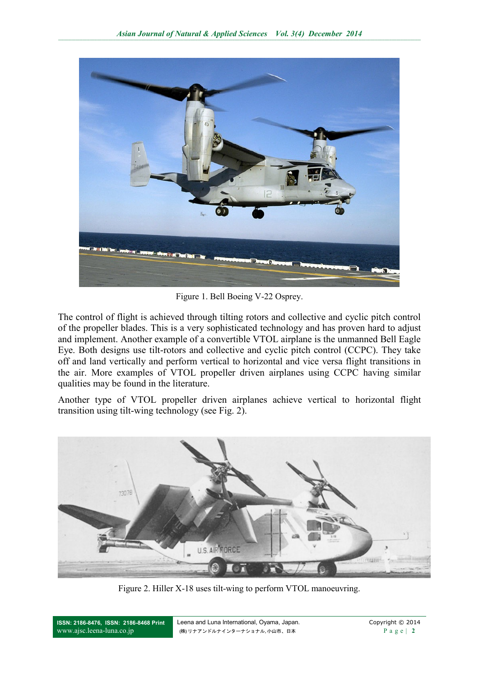

Figure 1. Bell Boeing V-22 Osprey.

The control of flight is achieved through tilting rotors and collective and cyclic pitch control of the propeller blades. This is a very sophisticated technology and has proven hard to adjust and implement. Another example of a convertible VTOL airplane is the unmanned Bell Eagle Eye. Both designs use tilt-rotors and collective and cyclic pitch control (CCPC). They take off and land vertically and perform vertical to horizontal and vice versa flight transitions in the air. More examples of VTOL propeller driven airplanes using CCPC having similar qualities may be found in the literature.

Another type of VTOL propeller driven airplanes achieve vertical to horizontal flight transition using tilt-wing technology (see Fig. 2).



Figure 2. Hiller X-18 uses tilt-wing to perform VTOL manoeuvring.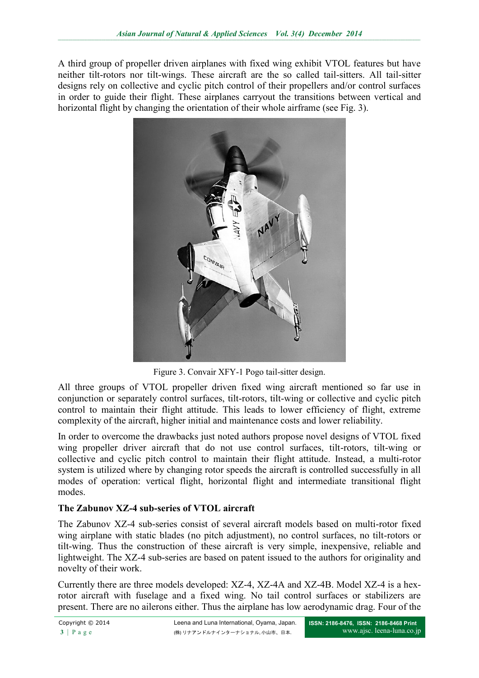A third group of propeller driven airplanes with fixed wing exhibit VTOL features but have neither tilt-rotors nor tilt-wings. These aircraft are the so called tail-sitters. All tail-sitter designs rely on collective and cyclic pitch control of their propellers and/or control surfaces in order to guide their flight. These airplanes carryout the transitions between vertical and horizontal flight by changing the orientation of their whole airframe (see Fig. 3).



Figure 3. Convair XFY-1 Pogo tail-sitter design.

All three groups of VTOL propeller driven fixed wing aircraft mentioned so far use in conjunction or separately control surfaces, tilt-rotors, tilt-wing or collective and cyclic pitch control to maintain their flight attitude. This leads to lower efficiency of flight, extreme complexity of the aircraft, higher initial and maintenance costs and lower reliability.

In order to overcome the drawbacks just noted authors propose novel designs of VTOL fixed wing propeller driver aircraft that do not use control surfaces, tilt-rotors, tilt-wing or collective and cyclic pitch control to maintain their flight attitude. Instead, a multi-rotor system is utilized where by changing rotor speeds the aircraft is controlled successfully in all modes of operation: vertical flight, horizontal flight and intermediate transitional flight modes.

## **The Zabunov XZ-4 sub-series of VTOL aircraft**

The Zabunov XZ-4 sub-series consist of several aircraft models based on multi-rotor fixed wing airplane with static blades (no pitch adjustment), no control surfaces, no tilt-rotors or tilt-wing. Thus the construction of these aircraft is very simple, inexpensive, reliable and lightweight. The XZ-4 sub-series are based on patent issued to the authors for originality and novelty of their work.

Currently there are three models developed: XZ-4, XZ-4A and XZ-4B. Model XZ-4 is a hexrotor aircraft with fuselage and a fixed wing. No tail control surfaces or stabilizers are present. There are no ailerons either. Thus the airplane has low aerodynamic drag. Four of the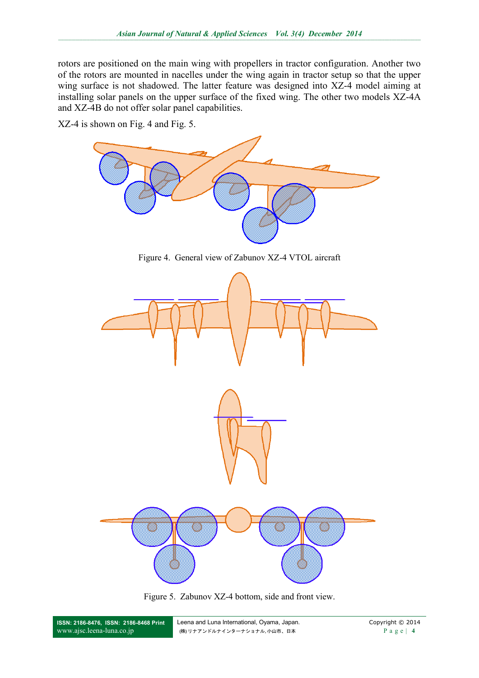rotors are positioned on the main wing with propellers in tractor configuration. Another two of the rotors are mounted in nacelles under the wing again in tractor setup so that the upper wing surface is not shadowed. The latter feature was designed into XZ-4 model aiming at installing solar panels on the upper surface of the fixed wing. The other two models XZ-4A and XZ-4B do not offer solar panel capabilities.

XZ-4 is shown on Fig. 4 and Fig. 5.



Figure 5. Zabunov XZ-4 bottom, side and front view.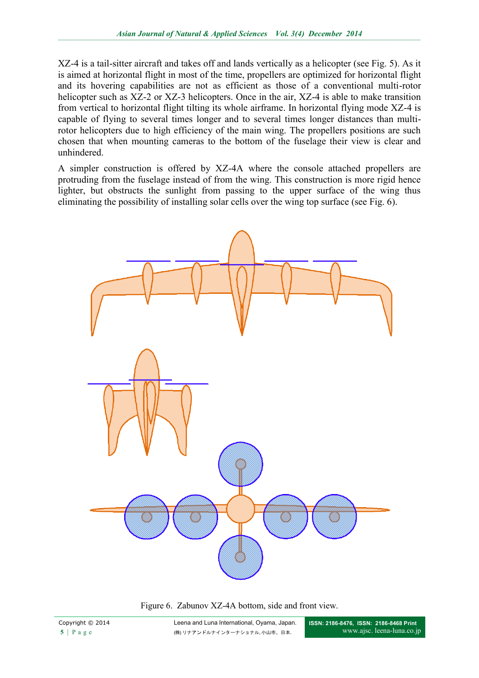XZ-4 is a tail-sitter aircraft and takes off and lands vertically as a helicopter (see Fig. 5). As it is aimed at horizontal flight in most of the time, propellers are optimized for horizontal flight and its hovering capabilities are not as efficient as those of a conventional multi-rotor helicopter such as XZ-2 or XZ-3 helicopters. Once in the air, XZ-4 is able to make transition from vertical to horizontal flight tilting its whole airframe. In horizontal flying mode XZ-4 is capable of flying to several times longer and to several times longer distances than multirotor helicopters due to high efficiency of the main wing. The propellers positions are such chosen that when mounting cameras to the bottom of the fuselage their view is clear and unhindered.

A simpler construction is offered by XZ-4A where the console attached propellers are protruding from the fuselage instead of from the wing. This construction is more rigid hence lighter, but obstructs the sunlight from passing to the upper surface of the wing thus eliminating the possibility of installing solar cells over the wing top surface (see Fig. 6).



Figure 6. Zabunov XZ-4A bottom, side and front view.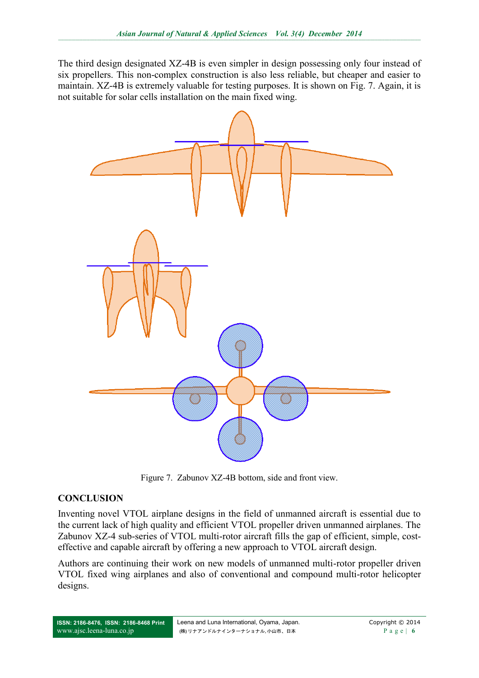The third design designated XZ-4B is even simpler in design possessing only four instead of six propellers. This non-complex construction is also less reliable, but cheaper and easier to maintain. XZ-4B is extremely valuable for testing purposes. It is shown on Fig. 7. Again, it is not suitable for solar cells installation on the main fixed wing.



Figure 7. Zabunov XZ-4B bottom, side and front view.

#### **CONCLUSION**

Inventing novel VTOL airplane designs in the field of unmanned aircraft is essential due to the current lack of high quality and efficient VTOL propeller driven unmanned airplanes. The Zabunov XZ-4 sub-series of VTOL multi-rotor aircraft fills the gap of efficient, simple, costeffective and capable aircraft by offering a new approach to VTOL aircraft design.

Authors are continuing their work on new models of unmanned multi-rotor propeller driven VTOL fixed wing airplanes and also of conventional and compound multi-rotor helicopter designs.

**ISSN: 2186-8476, ISSN: 2186-8468 Print** [www.ajsc.leena-luna.co.jp](http://www.ajssh.leena-luna.co.jp/)